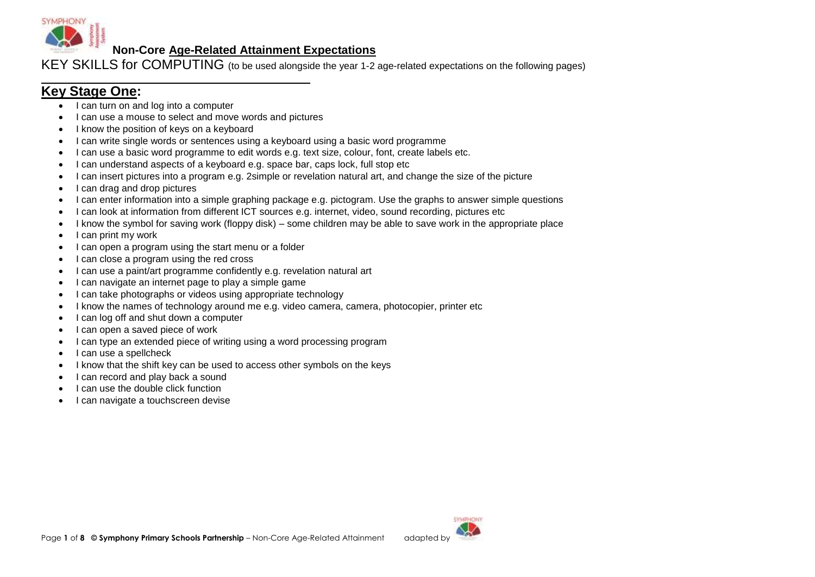

KEY SKILLS for COMPUTING (to be used alongside the year 1-2 age-related expectations on the following pages)

## **Key Stage One:**

- I can turn on and log into a computer
- I can use a mouse to select and move words and pictures
- I know the position of keys on a keyboard
- I can write single words or sentences using a keyboard using a basic word programme
- I can use a basic word programme to edit words e.g. text size, colour, font, create labels etc.
- I can understand aspects of a keyboard e.g. space bar, caps lock, full stop etc
- I can insert pictures into a program e.g. 2simple or revelation natural art, and change the size of the picture
- I can drag and drop pictures
- I can enter information into a simple graphing package e.g. pictogram. Use the graphs to answer simple questions
- I can look at information from different ICT sources e.g. internet, video, sound recording, pictures etc
- I know the symbol for saving work (floppy disk) some children may be able to save work in the appropriate place
- $\bullet$  I can print my work
- I can open a program using the start menu or a folder
- I can close a program using the red cross
- I can use a paint/art programme confidently e.g. revelation natural art
- I can navigate an internet page to play a simple game
- I can take photographs or videos using appropriate technology
- I know the names of technology around me e.g. video camera, camera, photocopier, printer etc
- I can log off and shut down a computer
- I can open a saved piece of work
- I can type an extended piece of writing using a word processing program
- I can use a spellcheck
- I know that the shift key can be used to access other symbols on the keys
- I can record and play back a sound
- $\bullet$  | can use the double click function
- I can navigate a touchscreen devise

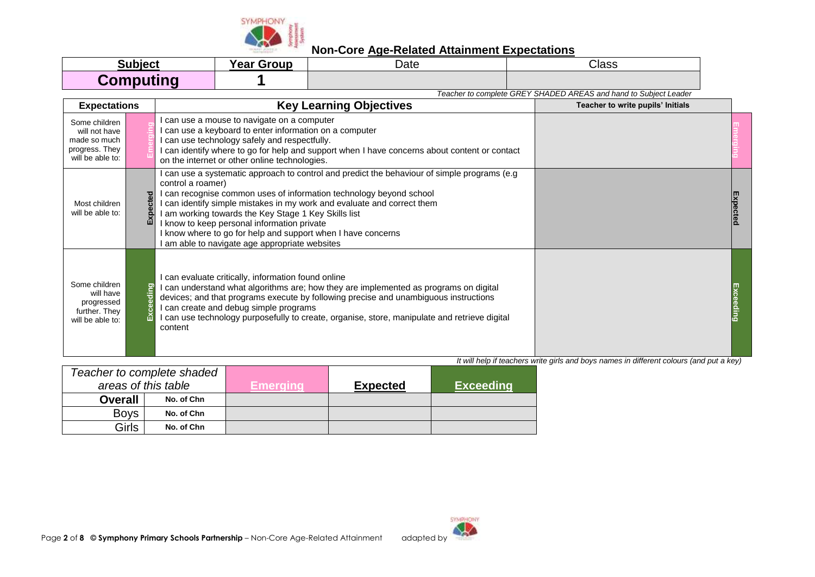

| <b>Subject</b>   | <b>Year Group</b> | Date | Class |
|------------------|-------------------|------|-------|
| <b>Computing</b> |                   |      |       |

*Teacher to complete GREY SHADED AREAS and hand to Subject Leader* **Expectations Key Learning Objectives Teacher to write pupils' Initials Conserver and May Learning Objectives** I can use a mouse to navigate on a computer Some children **Emerging Emerging** will not have I can use a keyboard to enter information on a computer made so much I can use technology safely and respectfully. progress. They I can identify where to go for help and support when I have concerns about content or contact will be able to: on the internet or other online technologies. I can use a systematic approach to control and predict the behaviour of simple programs (e.g control a roamer) I can recognise common uses of information technology beyond school **Expected Expected** I can identify simple mistakes in my work and evaluate and correct them Most children will be able to: I am working towards the Key Stage 1 Key Skills list I know to keep personal information private I know where to go for help and support when I have concerns I am able to navigate age appropriate websites I can evaluate critically, information found online Some children **Exceeding** I can understand what algorithms are; how they are implemented as programs on digital Exceeding **Exceeding** will have devices; and that programs execute by following precise and unambiguous instructions progressed I can create and debug simple programs further. They I can use technology purposefully to create, organise, store, manipulate and retrieve digital will be able to: content

| Teacher to complete shaded |                     |          |                 |                  |
|----------------------------|---------------------|----------|-----------------|------------------|
|                            | areas of this table | Emeraina | <b>Expected</b> | <b>Exceeding</b> |
| <b>Overall</b>             | No. of Chn          |          |                 |                  |
| <b>Boys</b>                | No. of Chn          |          |                 |                  |
| Girls                      | No. of Chn          |          |                 |                  |

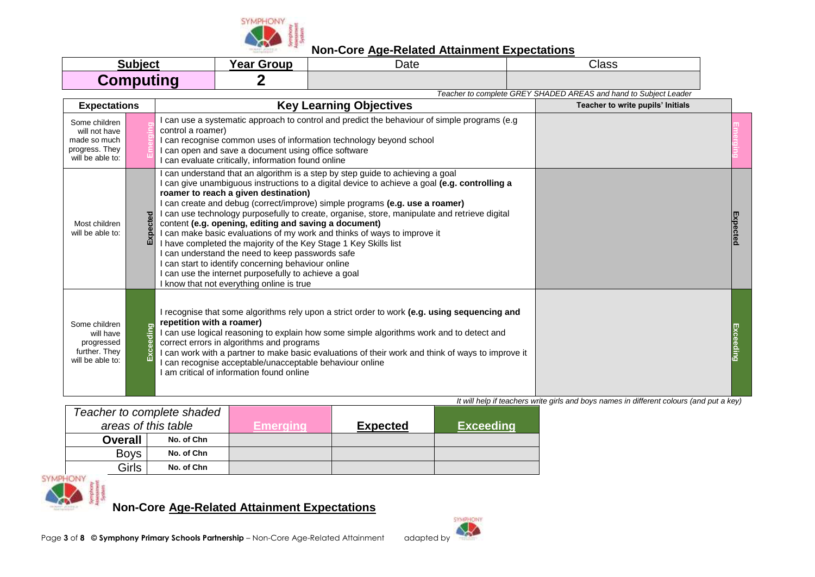

| <b>Subject</b>   | <b>Year Group</b> | Date | Class |
|------------------|-------------------|------|-------|
| <b>Computing</b> |                   |      |       |

*Teacher to complete GREY SHADED AREAS and hand to Subject Leader*

| <b>Expectations</b>                                                                  | <b>Key Learning Objectives</b> |                                                                                                                                                                                                                                                                                                                                                                                                                                                                                                                                                                                                                                                                                                                                                                                                                          | Teacher to write pupils' Initials |  |
|--------------------------------------------------------------------------------------|--------------------------------|--------------------------------------------------------------------------------------------------------------------------------------------------------------------------------------------------------------------------------------------------------------------------------------------------------------------------------------------------------------------------------------------------------------------------------------------------------------------------------------------------------------------------------------------------------------------------------------------------------------------------------------------------------------------------------------------------------------------------------------------------------------------------------------------------------------------------|-----------------------------------|--|
| Some children<br>will not have<br>made so much<br>progress. They<br>will be able to: |                                | I can use a systematic approach to control and predict the behaviour of simple programs (e.g<br>control a roamer)<br>I can recognise common uses of information technology beyond school<br>can open and save a document using office software<br>can evaluate critically, information found online                                                                                                                                                                                                                                                                                                                                                                                                                                                                                                                      |                                   |  |
| Most children<br>will be able to:                                                    | g<br>Εxι                       | can understand that an algorithm is a step by step guide to achieving a goal<br>can give unambiguous instructions to a digital device to achieve a goal (e.g. controlling a<br>roamer to reach a given destination)<br>can create and debug (correct/improve) simple programs (e.g. use a roamer)<br>I can use technology purposefully to create, organise, store, manipulate and retrieve digital<br>content (e.g. opening, editing and saving a document)<br>I can make basic evaluations of my work and thinks of ways to improve it<br>I have completed the majority of the Key Stage 1 Key Skills list<br>can understand the need to keep passwords safe<br>can start to identify concerning behaviour online<br>I can use the internet purposefully to achieve a goal<br>I know that not everything online is true |                                   |  |
| Some children<br>will have<br>progressed<br>further. They<br>will be able to:        | ding                           | recognise that some algorithms rely upon a strict order to work (e.g. using sequencing and<br>repetition with a roamer)<br>can use logical reasoning to explain how some simple algorithms work and to detect and<br>correct errors in algorithms and programs<br>I can work with a partner to make basic evaluations of their work and think of ways to improve it<br>can recognise acceptable/unacceptable behaviour online<br>am critical of information found online                                                                                                                                                                                                                                                                                                                                                 |                                   |  |

*It will help if teachers write girls and boys names in different colours (and put a key)*

| Teacher to complete shaded |            |          |                 |                  |
|----------------------------|------------|----------|-----------------|------------------|
| areas of this table        |            | Emeraına | <b>Expected</b> | <b>Exceeding</b> |
| <b>Overall</b>             | No. of Chn |          |                 |                  |
| <b>Boys</b>                | No. of Chn |          |                 |                  |
| Girls                      | No. of Chn |          |                 |                  |

**SYMPHONY** 

**Non-Core Age-Related Attainment Expectations**

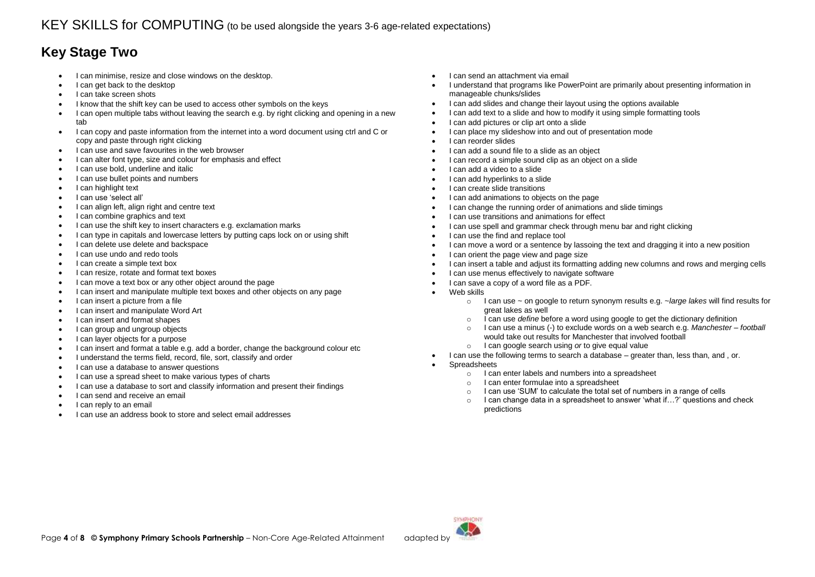# **Key Stage Two**

- I can minimise, resize and close windows on the desktop.
- I can get back to the desktop
- I can take screen shots
- I know that the shift key can be used to access other symbols on the keys
- I can open multiple tabs without leaving the search e.g. by right clicking and opening in a new tab
- I can copy and paste information from the internet into a word document using ctrl and C or copy and paste through right clicking
- I can use and save favourites in the web browser
- I can alter font type, size and colour for emphasis and effect
- I can use bold, underline and italic
- I can use bullet points and numbers
- I can highlight text
- I can use 'select all'
- I can align left, align right and centre text
- I can combine graphics and text
- I can use the shift key to insert characters e.g. exclamation marks
- I can type in capitals and lowercase letters by putting caps lock on or using shift
- I can delete use delete and backspace
- I can use undo and redo tools
- I can create a simple text box
- I can resize, rotate and format text boxes
- I can move a text box or any other object around the page
- I can insert and manipulate multiple text boxes and other objects on any page
- I can insert a picture from a file
- I can insert and manipulate Word Art
- I can insert and format shapes
- I can group and ungroup objects
- I can layer objects for a purpose
- I can insert and format a table e.g. add a border, change the background colour etc
- I understand the terms field, record, file, sort, classify and order
- I can use a database to answer questions
- I can use a spread sheet to make various types of charts
- I can use a database to sort and classify information and present their findings
- I can send and receive an email
- I can reply to an email
- I can use an address book to store and select email addresses
- I can send an attachment via email
- I understand that programs like PowerPoint are primarily about presenting information in manageable chunks/slides
- I can add slides and change their layout using the options available
- I can add text to a slide and how to modify it using simple formatting tools
- I can add pictures or clip art onto a slide
- I can place my slideshow into and out of presentation mode
- I can reorder slides
- I can add a sound file to a slide as an object
- I can record a simple sound clip as an object on a slide
- I can add a video to a slide
- I can add hyperlinks to a slide
- I can create slide transitions
- I can add animations to objects on the page
- I can change the running order of animations and slide timings
- I can use transitions and animations for effect
- I can use spell and grammar check through menu bar and right clicking
- I can use the find and replace tool
- I can move a word or a sentence by lassoing the text and dragging it into a new position
- I can orient the page view and page size
- I can insert a table and adjust its formatting adding new columns and rows and merging cells
- I can use menus effectively to navigate software
- I can save a copy of a word file as a PDF.
- Web skills
	- o I can use ~ on google to return synonym results e.g. ~*large lakes* will find results for great lakes as well
	- o I can use *define* before a word using google to get the dictionary definition
	- o I can use a minus (-) to exclude words on a web search e.g. *Manchester – football*  would take out results for Manchester that involved football
	- o I can google search using *or* to give equal value
- I can use the following terms to search a database greater than, less than, and , or.
- Spreadsheets
	- o I can enter labels and numbers into a spreadsheet
	- o I can enter formulae into a spreadsheet
	- o I can use 'SUM' to calculate the total set of numbers in a range of cells
	- o I can change data in a spreadsheet to answer 'what if…?' questions and check predictions

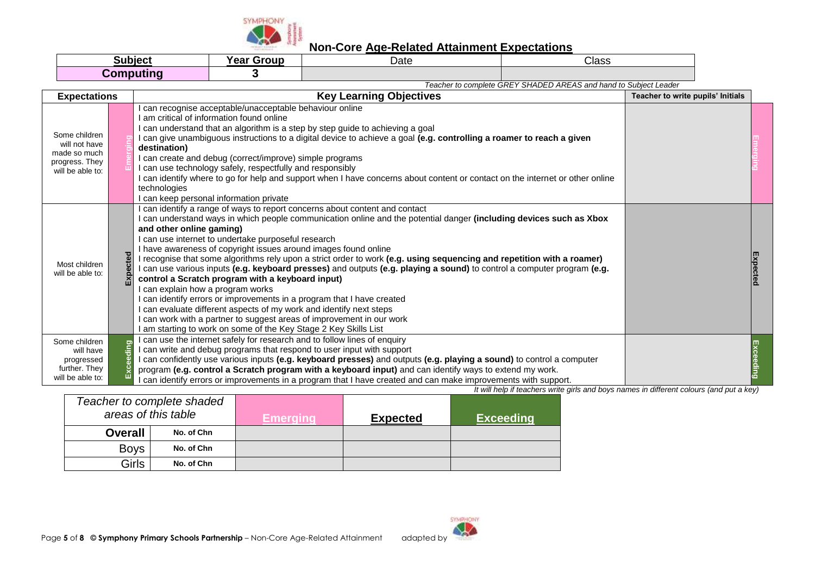

| Subject   | . .<br><b>Year Group</b> | Date | Class |
|-----------|--------------------------|------|-------|
| Computing |                          |      |       |

*Teacher to complete GREY SHADED AREAS and hand to Subject Leader*

| <b>Expectations</b>                                                                  |                     | <b>Key Learning Objectives</b>                                                                                                                                                                                                                                                                                                                                                                                                                                                                                                                                                                                                                                                                                                                                                                                                                                                                                                                                                                       | Teacher to write pupils' Initials |  |
|--------------------------------------------------------------------------------------|---------------------|------------------------------------------------------------------------------------------------------------------------------------------------------------------------------------------------------------------------------------------------------------------------------------------------------------------------------------------------------------------------------------------------------------------------------------------------------------------------------------------------------------------------------------------------------------------------------------------------------------------------------------------------------------------------------------------------------------------------------------------------------------------------------------------------------------------------------------------------------------------------------------------------------------------------------------------------------------------------------------------------------|-----------------------------------|--|
| Some children<br>will not have<br>made so much<br>progress. They<br>will be able to: |                     | can recognise acceptable/unacceptable behaviour online<br>I am critical of information found online<br>can understand that an algorithm is a step by step guide to achieving a goal<br>I can give unambiguous instructions to a digital device to achieve a goal (e.g. controlling a roamer to reach a given<br>destination)<br>I can create and debug (correct/improve) simple programs<br>I can use technology safely, respectfully and responsibly<br>I can identify where to go for help and support when I have concerns about content or contact on the internet or other online<br>technologies<br>I can keep personal information private                                                                                                                                                                                                                                                                                                                                                    |                                   |  |
| Most children<br>will be able to:                                                    | $\overline{\sigma}$ | I can identify a range of ways to report concerns about content and contact<br>I can understand ways in which people communication online and the potential danger (including devices such as Xbox<br>and other online gaming)<br>I can use internet to undertake purposeful research<br>I have awareness of copyright issues around images found online<br>I recognise that some algorithms rely upon a strict order to work (e.g. using sequencing and repetition with a roamer)<br>I can use various inputs (e.g. keyboard presses) and outputs (e.g. playing a sound) to control a computer program (e.g.<br>control a Scratch program with a keyboard input)<br>I can explain how a program works<br>I can identify errors or improvements in a program that I have created<br>I can evaluate different aspects of my work and identify next steps<br>I can work with a partner to suggest areas of improvement in our work<br>I am starting to work on some of the Key Stage 2 Key Skills List |                                   |  |
| Some children<br>will have<br>progressed<br>further. They<br>will be able to:        | 등                   | I can use the internet safely for research and to follow lines of enquiry<br>I can write and debug programs that respond to user input with support<br>I can confidently use various inputs (e.g. keyboard presses) and outputs (e.g. playing a sound) to control a computer<br>program (e.g. control a Scratch program with a keyboard input) and can identify ways to extend my work.<br>I can identify errors or improvements in a program that I have created and can make improvements with support.                                                                                                                                                                                                                                                                                                                                                                                                                                                                                            |                                   |  |

|                | Teacher to complete shaded |                 |                 |                  |
|----------------|----------------------------|-----------------|-----------------|------------------|
|                | areas of this table        | <b>Emerging</b> | <b>Expected</b> | <b>Exceeding</b> |
| <b>Overall</b> | No. of Chn                 |                 |                 |                  |
| <b>Boys</b>    | No. of Chn                 |                 |                 |                  |
| Girls          | No. of Chn                 |                 |                 |                  |

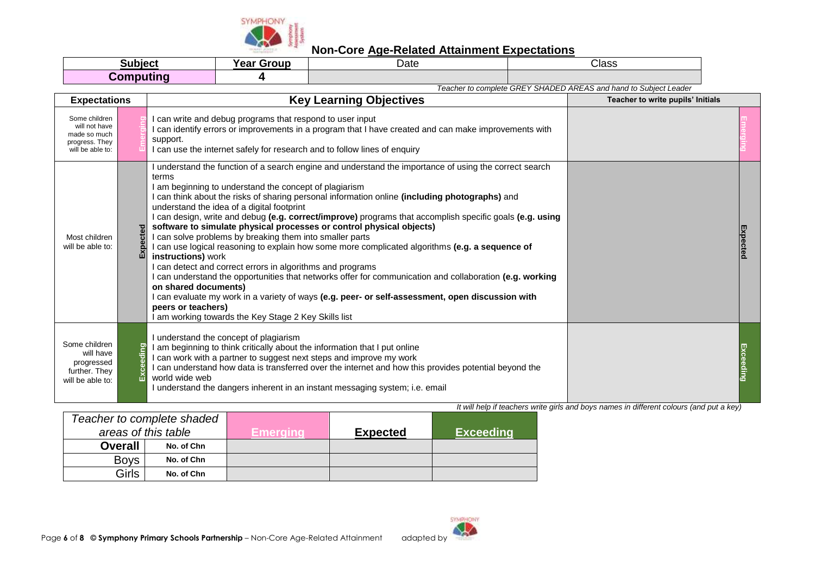

| Subiect   | Voor<br>Group<br>Udi | Date | Class |
|-----------|----------------------|------|-------|
| Computing |                      |      |       |

*Teacher to complete GREY SHADED AREAS and hand to Subject Leader*

| <b>Expectations</b>                                                                  |  | <b>Key Learning Objectives</b>                                                                                                                                                                                                                                                                                                                                                                                                                                                                                                                                                                                                                                                                                                                                                                                                                                                                                                                                                                                                                                                         | Teacher to write pupils' Initials |  |
|--------------------------------------------------------------------------------------|--|----------------------------------------------------------------------------------------------------------------------------------------------------------------------------------------------------------------------------------------------------------------------------------------------------------------------------------------------------------------------------------------------------------------------------------------------------------------------------------------------------------------------------------------------------------------------------------------------------------------------------------------------------------------------------------------------------------------------------------------------------------------------------------------------------------------------------------------------------------------------------------------------------------------------------------------------------------------------------------------------------------------------------------------------------------------------------------------|-----------------------------------|--|
| Some children<br>will not have<br>made so much<br>progress. They<br>will be able to: |  | I can write and debug programs that respond to user input<br>I can identify errors or improvements in a program that I have created and can make improvements with<br>support.<br>I can use the internet safely for research and to follow lines of enquiry                                                                                                                                                                                                                                                                                                                                                                                                                                                                                                                                                                                                                                                                                                                                                                                                                            |                                   |  |
| Most children<br>will be able to:                                                    |  | I understand the function of a search engine and understand the importance of using the correct search<br>terms<br>I am beginning to understand the concept of plagiarism<br>I can think about the risks of sharing personal information online (including photographs) and<br>understand the idea of a digital footprint<br>I can design, write and debug (e.g. correct/improve) programs that accomplish specific goals (e.g. using<br>software to simulate physical processes or control physical objects)<br>I can solve problems by breaking them into smaller parts<br>I can use logical reasoning to explain how some more complicated algorithms (e.g. a sequence of<br>instructions) work<br>I can detect and correct errors in algorithms and programs<br>I can understand the opportunities that networks offer for communication and collaboration (e.g. working<br>on shared documents)<br>I can evaluate my work in a variety of ways (e.g. peer- or self-assessment, open discussion with<br>peers or teachers)<br>I am working towards the Key Stage 2 Key Skills list |                                   |  |
| Some children<br>will have<br>progressed<br>further. They<br>will be able to:        |  | I understand the concept of plagiarism<br>I am beginning to think critically about the information that I put online<br>I can work with a partner to suggest next steps and improve my work<br>I can understand how data is transferred over the internet and how this provides potential beyond the<br>world wide web<br>I understand the dangers inherent in an instant messaging system; i.e. email                                                                                                                                                                                                                                                                                                                                                                                                                                                                                                                                                                                                                                                                                 |                                   |  |

|                | Teacher to complete shaded |          |                 |                  |
|----------------|----------------------------|----------|-----------------|------------------|
|                | areas of this table        | Emerama' | <b>Expected</b> | <b>Exceeding</b> |
| <b>Overall</b> | No. of Chn                 |          |                 |                  |
| <b>Boys</b>    | No. of Chn                 |          |                 |                  |
| Girls          | No. of Chn                 |          |                 |                  |

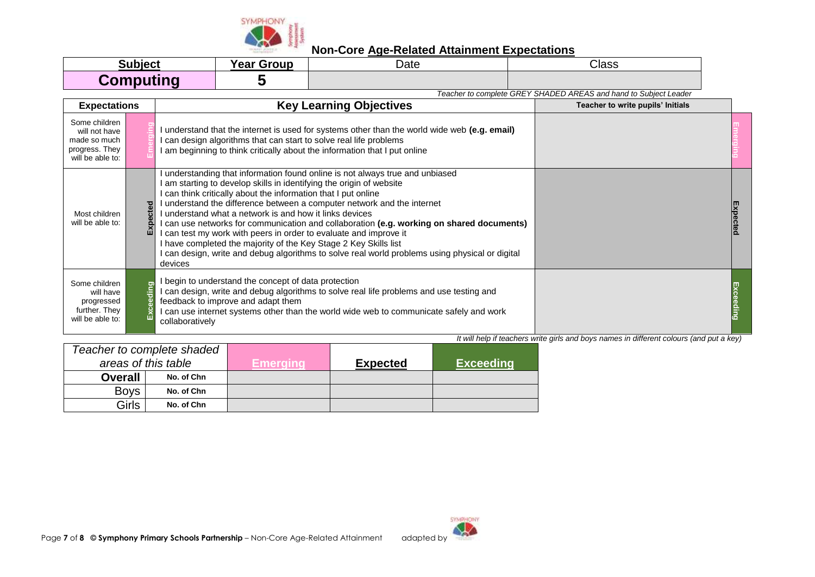

| Subject          | <b>Year Group</b> | Date | Class |
|------------------|-------------------|------|-------|
| <b>Computing</b> |                   |      |       |

*Teacher to complete GREY SHADED AREAS and hand to Subject Leader* **Expectations Key Learning Objectives Teacher to write pupils' Initials Conserver and May Learning Objectives** Some children **Emerging Emerging** I understand that the internet is used for systems other than the world wide web **(e.g. email)** will not have made so much I can design algorithms that can start to solve real life problems progress. They I am beginning to think critically about the information that I put online will be able to: I understanding that information found online is not always true and unbiased I am starting to develop skills in identifying the origin of website I can think critically about the information that I put online I understand the difference between a computer network and the internet **Expected Expected** I understand what a network is and how it links devices Most children will be able to: I can use networks for communication and collaboration **(e.g. working on shared documents)** I can test my work with peers in order to evaluate and improve it I have completed the majority of the Key Stage 2 Key Skills list I can design, write and debug algorithms to solve real world problems using physical or digital devices I begin to understand the concept of data protection Some children **Exceeding** Exceeding **Exceeding** I can design, write and debug algorithms to solve real life problems and use testing and will have feedback to improve and adapt them progressed further. They I can use internet systems other than the world wide web to communicate safely and work will be able to: collaboratively

| Teacher to complete shaded |            |          |                 |                  |
|----------------------------|------------|----------|-----------------|------------------|
| areas of this table        |            | Emeraina | <b>Expected</b> | <b>Exceeding</b> |
| <b>Overall</b>             | No. of Chn |          |                 |                  |
| <b>Boys</b>                | No. of Chn |          |                 |                  |
| Girls                      | No. of Chn |          |                 |                  |